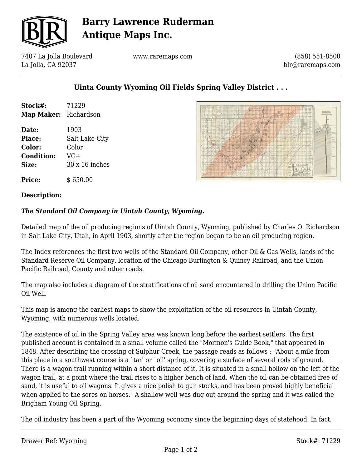

# **Barry Lawrence Ruderman Antique Maps Inc.**

7407 La Jolla Boulevard La Jolla, CA 92037

www.raremaps.com

(858) 551-8500 blr@raremaps.com

## **Uinta County Wyoming Oil Fields Spring Valley District . . .**

| Stock#:               | 71229                 |
|-----------------------|-----------------------|
| Map Maker: Richardson |                       |
| Date:                 | 1903                  |
| <b>Place:</b>         | Salt Lake City        |
| Color:                | Color                 |
| <b>Condition:</b>     | VG+                   |
| Size:                 | $30 \times 16$ inches |
| <b>Price:</b>         | \$650.00              |



### **Description:**

### *The Standard Oil Company in Uintah County, Wyoming.*

Detailed map of the oil producing regions of Uintah County, Wyoming, published by Charles O. Richardson in Salt Lake City, Utah, in April 1903, shortly after the region began to be an oil producing region.

The Index references the first two wells of the Standard Oil Company, other Oil & Gas Wells, lands of the Standard Reserve Oil Company, location of the Chicago Burlington & Quincy Railroad, and the Union Pacific Railroad, County and other roads.

The map also includes a diagram of the stratifications of oil sand encountered in drilling the Union Pacific Oil Well.

This map is among the earliest maps to show the exploitation of the oil resources in Uintah County, Wyoming, with numerous wells located.

The existence of oil in the Spring Valley area was known long before the earliest settlers. The first published account is contained in a small volume called the "Mormon's Guide Book," that appeared in 1848. After describing the crossing of Sulphur Creek, the passage reads as follows : "About a mile from this place in a southwest course is a `tar' or `oil' spring, covering a surface of several rods of ground. There is a wagon trail running within a short distance of it. It is situated in a small hollow on the left of the wagon trail, at a point where the trail rises to a higher bench of land. When the oil can be obtained free of sand, it is useful to oil wagons. It gives a nice polish to gun stocks, and has been proved highly beneficial when applied to the sores on horses." A shallow well was dug out around the spring and it was called the Brigham Young Oil Spring.

The oil industry has been a part of the Wyoming economy since the beginning days of statehood. In fact,